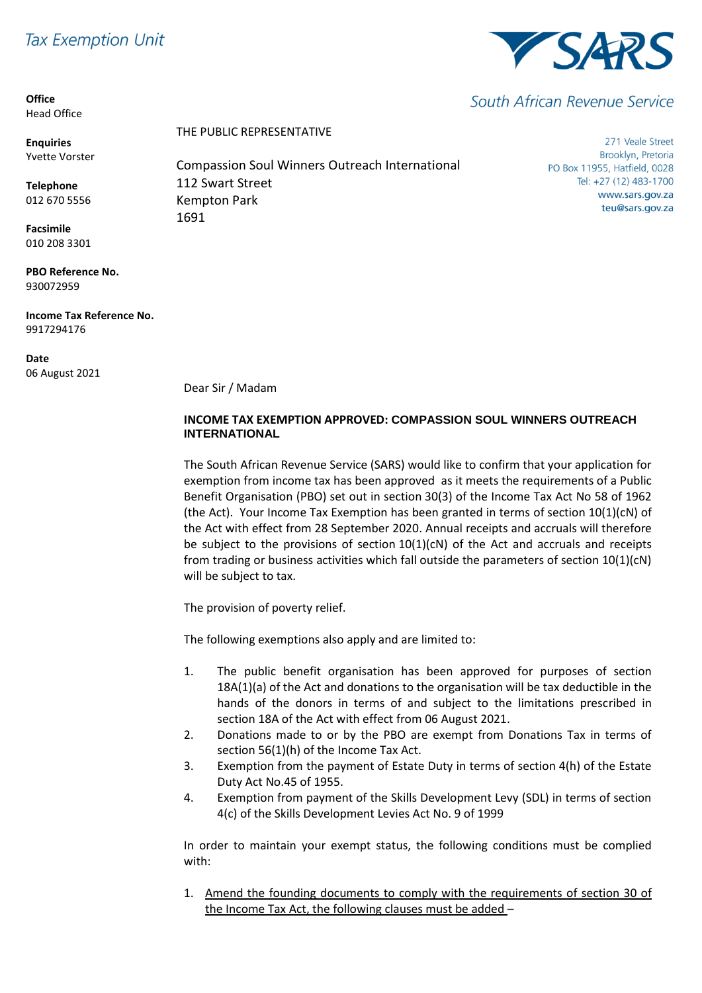# **Tax Exemption Unit**

**Office** Head Office

**Enquiries** Yvette Vorster

**Telephone** 012 670 5556

**Facsimile** 010 208 3301

**PBO Reference No.** 930072959

**Income Tax Reference No.** 9917294176

**Date** 06 August 2021 THE PUBLIC REPRESENTATIVE

Compassion Soul Winners Outreach International 112 Swart Street Kempton Park 1691

271 Veale Street Brooklyn, Pretoria PO Box 11955, Hatfield, 0028 Tel: +27 (12) 483-1700 www.sars.gov.za teu@sars.gov.za

Dear Sir / Madam

## **INCOME TAX EXEMPTION APPROVED: COMPASSION SOUL WINNERS OUTREACH INTERNATIONAL**

The South African Revenue Service (SARS) would like to confirm that your application for exemption from income tax has been approved as it meets the requirements of a Public Benefit Organisation (PBO) set out in section 30(3) of the Income Tax Act No 58 of 1962 (the Act). Your Income Tax Exemption has been granted in terms of section 10(1)(cN) of the Act with effect from 28 September 2020. Annual receipts and accruals will therefore be subject to the provisions of section  $10(1)(cN)$  of the Act and accruals and receipts from trading or business activities which fall outside the parameters of section 10(1)(cN) will be subject to tax.

The provision of poverty relief.

The following exemptions also apply and are limited to:

- 1. The public benefit organisation has been approved for purposes of section 18A(1)(a) of the Act and donations to the organisation will be tax deductible in the hands of the donors in terms of and subject to the limitations prescribed in section 18A of the Act with effect from 06 August 2021.
- 2. Donations made to or by the PBO are exempt from Donations Tax in terms of section 56(1)(h) of the Income Tax Act.
- 3. Exemption from the payment of Estate Duty in terms of section 4(h) of the Estate Duty Act No.45 of 1955.
- 4. Exemption from payment of the Skills Development Levy (SDL) in terms of section 4(c) of the Skills Development Levies Act No. 9 of 1999

In order to maintain your exempt status, the following conditions must be complied with:

1. Amend the founding documents to comply with the requirements of section 30 of the Income Tax Act, the following clauses must be added –



South African Revenue Service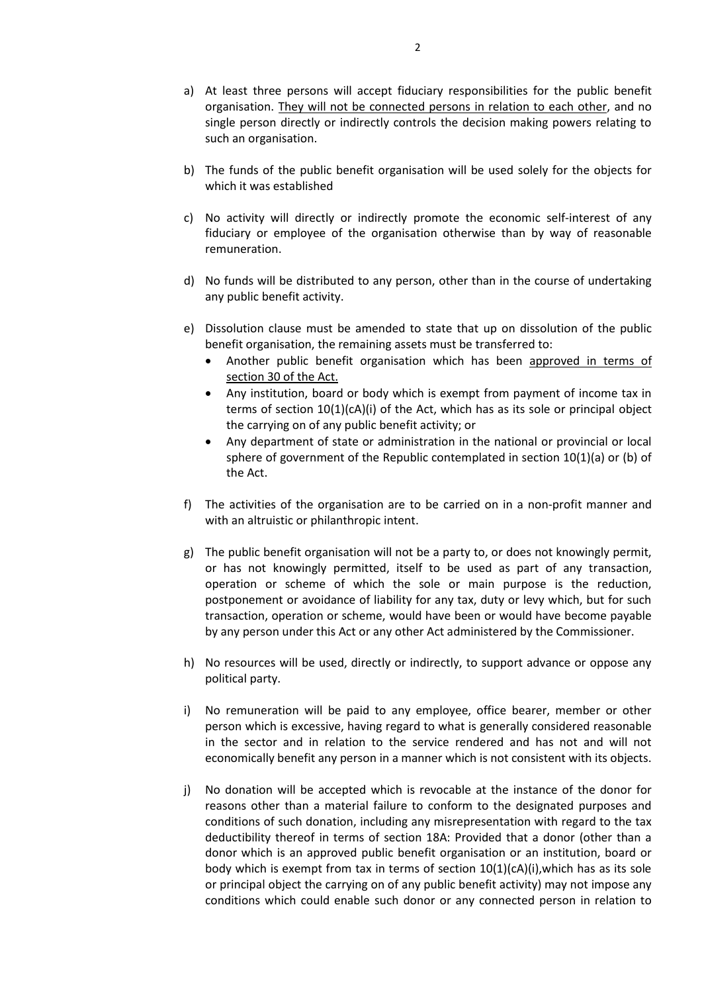- a) At least three persons will accept fiduciary responsibilities for the public benefit organisation. They will not be connected persons in relation to each other, and no single person directly or indirectly controls the decision making powers relating to such an organisation.
- b) The funds of the public benefit organisation will be used solely for the objects for which it was established
- c) No activity will directly or indirectly promote the economic self-interest of any fiduciary or employee of the organisation otherwise than by way of reasonable remuneration.
- d) No funds will be distributed to any person, other than in the course of undertaking any public benefit activity.
- e) Dissolution clause must be amended to state that up on dissolution of the public benefit organisation, the remaining assets must be transferred to:
	- Another public benefit organisation which has been approved in terms of section 30 of the Act.
	- Any institution, board or body which is exempt from payment of income tax in terms of section 10(1)(cA)(i) of the Act, which has as its sole or principal object the carrying on of any public benefit activity; or
	- Any department of state or administration in the national or provincial or local sphere of government of the Republic contemplated in section 10(1)(a) or (b) of the Act.
- f) The activities of the organisation are to be carried on in a non-profit manner and with an altruistic or philanthropic intent.
- g) The public benefit organisation will not be a party to, or does not knowingly permit, or has not knowingly permitted, itself to be used as part of any transaction, operation or scheme of which the sole or main purpose is the reduction, postponement or avoidance of liability for any tax, duty or levy which, but for such transaction, operation or scheme, would have been or would have become payable by any person under this Act or any other Act administered by the Commissioner.
- h) No resources will be used, directly or indirectly, to support advance or oppose any political party.
- i) No remuneration will be paid to any employee, office bearer, member or other person which is excessive, having regard to what is generally considered reasonable in the sector and in relation to the service rendered and has not and will not economically benefit any person in a manner which is not consistent with its objects.
- j) No donation will be accepted which is revocable at the instance of the donor for reasons other than a material failure to conform to the designated purposes and conditions of such donation, including any misrepresentation with regard to the tax deductibility thereof in terms of section 18A: Provided that a donor (other than a donor which is an approved public benefit organisation or an institution, board or body which is exempt from tax in terms of section 10(1)(cA)(i),which has as its sole or principal object the carrying on of any public benefit activity) may not impose any conditions which could enable such donor or any connected person in relation to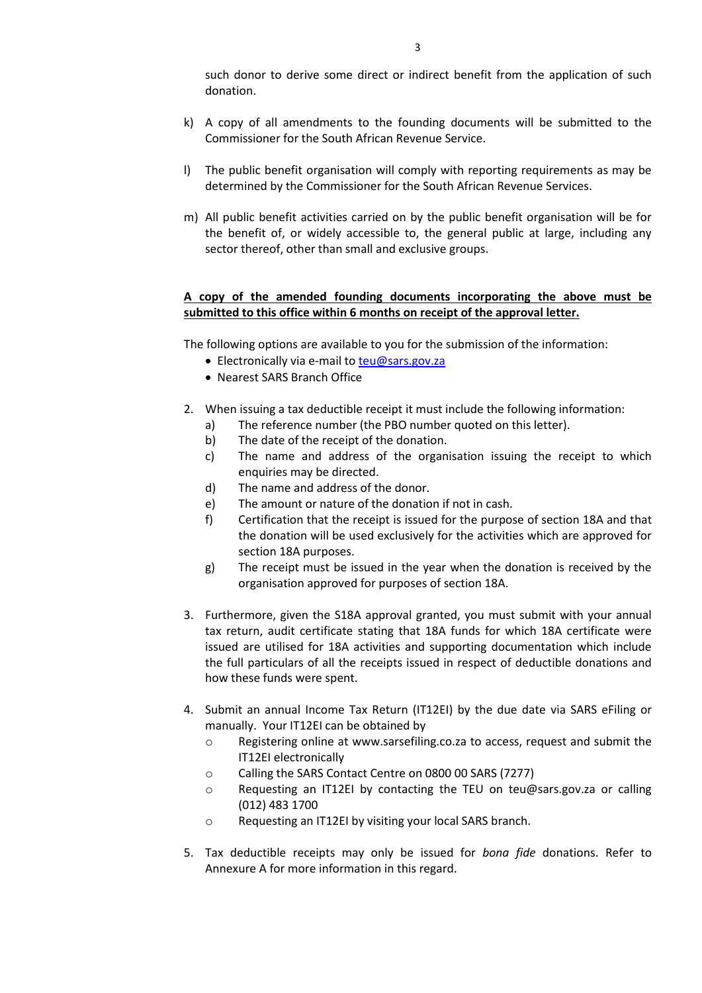such donor to derive some direct or indirect benefit from the application of such donation.

- k) A copy of all amendments to the founding documents will be submitted to the Commissioner for the South African Revenue Service.
- l) The public benefit organisation will comply with reporting requirements as may be determined by the Commissioner for the South African Revenue Services.
- m) All public benefit activities carried on by the public benefit organisation will be for the benefit of, or widely accessible to, the general public at large, including any sector thereof, other than small and exclusive groups.

### **A copy of the amended founding documents incorporating the above must be submitted to this office within 6 months on receipt of the approval letter.**

The following options are available to you for the submission of the information:

- Electronically via e-mail to [teu@sars.gov.za](mailto:teu@sars.gov.za)
- Nearest SARS Branch Office
- 2. When issuing a tax deductible receipt it must include the following information:
	- a) The reference number (the PBO number quoted on this letter).
	- b) The date of the receipt of the donation.
	- c) The name and address of the organisation issuing the receipt to which enquiries may be directed.
	- d) The name and address of the donor.
	- e) The amount or nature of the donation if not in cash.
	- f) Certification that the receipt is issued for the purpose of section 18A and that the donation will be used exclusively for the activities which are approved for section 18A purposes.
	- g) The receipt must be issued in the year when the donation is received by the organisation approved for purposes of section 18A.
- 3. Furthermore, given the S18A approval granted, you must submit with your annual tax return, audit certificate stating that 18A funds for which 18A certificate were issued are utilised for 18A activities and supporting documentation which include the full particulars of all the receipts issued in respect of deductible donations and how these funds were spent.
- 4. Submit an annual Income Tax Return (IT12EI) by the due date via SARS eFiling or manually. Your IT12EI can be obtained by
	- o Registering online at www.sarsefiling.co.za to access, request and submit the IT12EI electronically
	- o Calling the SARS Contact Centre on 0800 00 SARS (7277)
	- o Requesting an IT12EI by contacting the TEU on teu@sars.gov.za or calling (012) 483 1700
	- o Requesting an IT12EI by visiting your local SARS branch.
- 5. Tax deductible receipts may only be issued for *bona fide* donations. Refer to Annexure A for more information in this regard.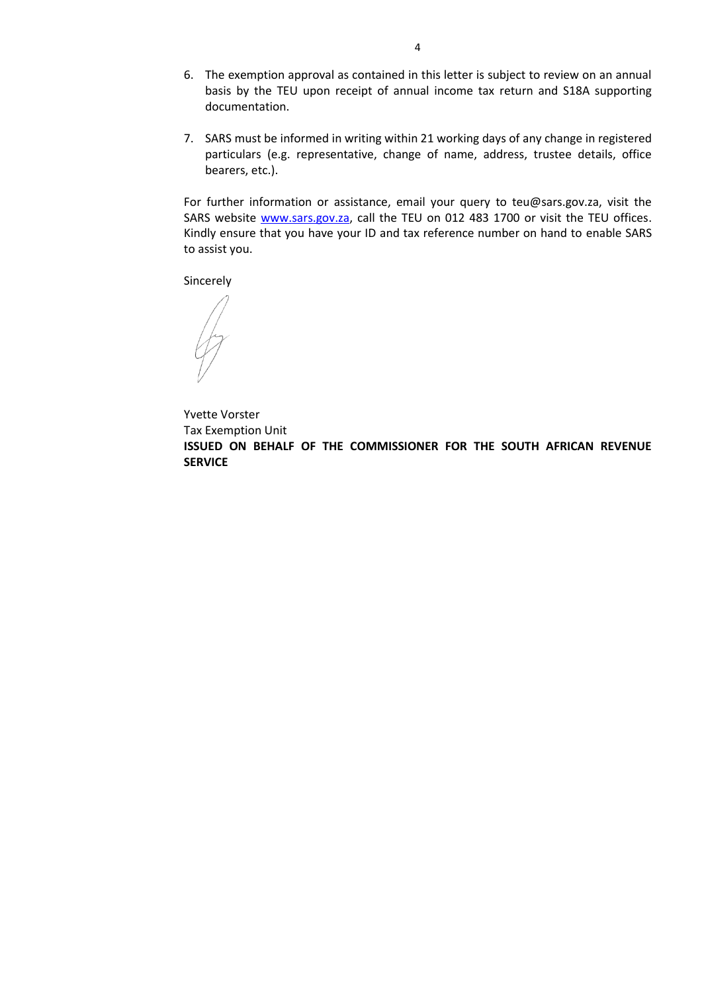- 6. The exemption approval as contained in this letter is subject to review on an annual basis by the TEU upon receipt of annual income tax return and S18A supporting documentation.
- 7. SARS must be informed in writing within 21 working days of any change in registered particulars (e.g. representative, change of name, address, trustee details, office bearers, etc.).

For further information or assistance, email your query to teu@sars.gov.za, visit the SARS website [www.sars.gov.za,](http://www.sars.gov.za/) call the TEU on 012 483 1700 or visit the TEU offices. Kindly ensure that you have your ID and tax reference number on hand to enable SARS to assist you.

Sincerely

Yvette Vorster Tax Exemption Unit **ISSUED ON BEHALF OF THE COMMISSIONER FOR THE SOUTH AFRICAN REVENUE SERVICE**